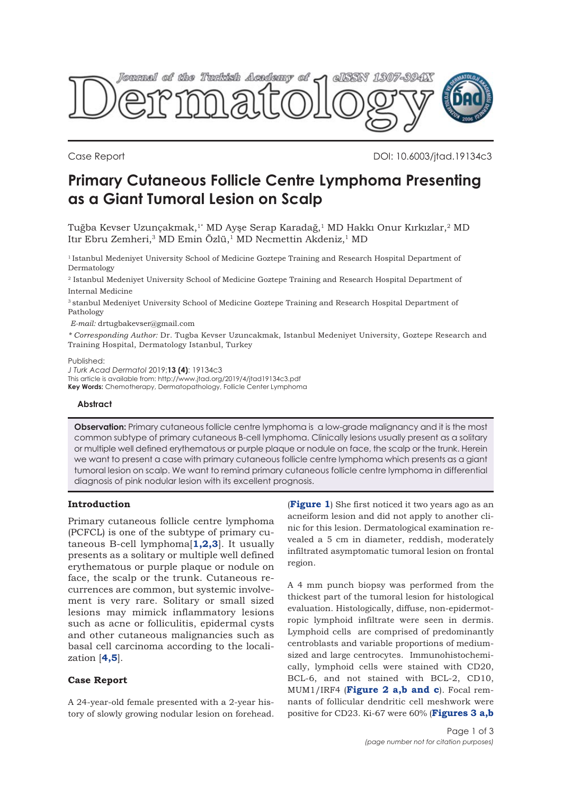

Case Report DOI: 10.6003/jtad.19134c3

# **Primary Cutaneous Follicle Centre Lymphoma Presenting as a Giant Tumoral Lesion on Scalp**

Tuğba Kevser Uzunçakmak,1\* MD Ayşe Serap Karadağ,1 MD Hakkı Onur Kırkızlar,2 MD Itır Ebru Zemheri,<sup>3</sup> MD Emin Özlü,<sup>1</sup> MD Necmettin Akdeniz,<sup>1</sup> MD

1 Istanbul Medeniyet University School of Medicine Goztepe Training and Research Hospital Department of Dermatology

<sup>2</sup> Istanbul Medeniyet University School of Medicine Goztepe Training and Research Hospital Department of Internal Medicine

3 stanbul Medeniyet University School of Medicine Goztepe Training and Research Hospital Department of Pathology

*E-mail:* drtugbakevser@gmail.com

*\* Corresponding Author:* Dr. Tugba Kevser Uzuncakmak, Istanbul Medeniyet University, Goztepe Research and Training Hospital, Dermatology Istanbul, Turkey

#### Published:

*J Turk Acad Dermatol* 2019;**13 (4)**: 19134c3 This article is available from: http://www.jtad.org/2019/4/jtad19134c3.pdf **Key Words:** Chemotherapy, Dermatopathology, Follicle Center Lymphoma

#### **Abstract**

**Observation:** Primary cutaneous follicle centre lymphoma is a low-grade malignancy and it is the most common subtype of primary cutaneous B-cell lymphoma. Clinically lesions usually present as a solitary or multiple well defined erythematous or purple plaque or nodule on face, the scalp or the trunk. Herein we want to present a case with primary cutaneous follicle centre lymphoma which presents as a giant tumoral lesion on scalp. We want to remind primary cutaneous follicle centre lymphoma in differential diagnosis of pink nodular lesion with its excellent prognosis.

## **Introduction**

Primary cutaneous follicle centre lymphoma (PCFCL) is one of the subtype of primary cutaneous B-cell lymphoma[**[1,2,3](#page-2-0)**]. It usually presents as a solitary or multiple well defined erythematous or purple plaque or nodule on face, the scalp or the trunk. Cutaneous recurrences are common, but systemic involvement is very rare. Solitary or small sized lesions may mimick inflammatory lesions such as acne or folliculitis, epidermal cysts and other cutaneous malignancies such as basal cell carcinoma according to the localization [**[4,5](#page-2-0)**].

### **Case Report**

A 24-year-old female presented with a 2-year history of slowly growing nodular lesion on forehead. (**[Figure 1](#page-1-0)**) She first noticed it two years ago as an acneiform lesion and did not apply to another clinic for this lesion. Dermatological examination revealed a 5 cm in diameter, reddish, moderately infiltrated asymptomatic tumoral lesion on frontal region.

A 4 mm punch biopsy was performed from the thickest part of the tumoral lesion for histological evaluation. Histologically, diffuse, non-epidermotropic lymphoid infiltrate were seen in dermis. Lymphoid cells are comprised of predominantly centroblasts and variable proportions of mediumsized and large centrocytes. Immunohistochemically, lymphoid cells were stained with CD20, BCL-6, and not stained with BCL-2, CD10, MUM1/IRF4 (**[Figure 2 a,b and c](#page-1-0)**). Focal remnants of follicular dendritic cell meshwork were positive for CD23. Ki-67 were 60% (**[Figures 3 a,b](#page-1-0)**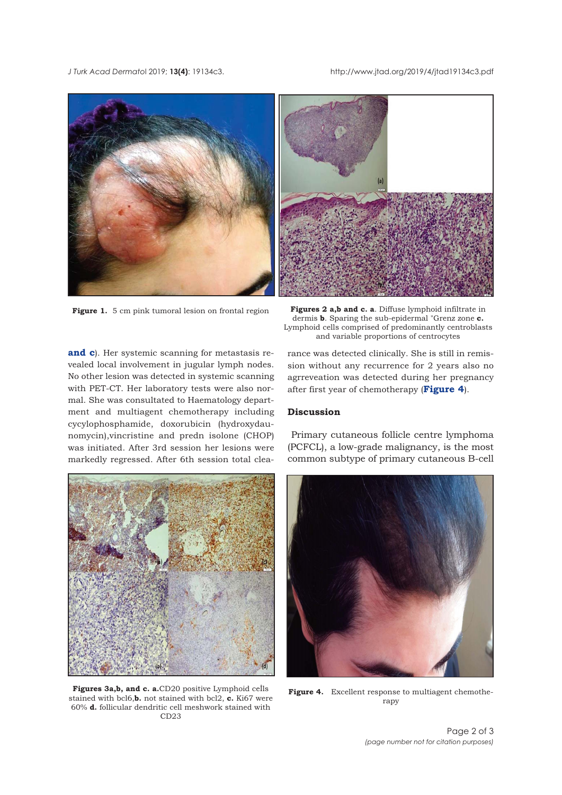<span id="page-1-0"></span>*J Turk Acad Dermato*l 2019; **13(4)**: 19134c3. http://www.jtad.org/2019/4/jtad19134c3.pdf





**Figure 1.** 5 cm pink tumoral lesion on frontal region **Figures 2 a,b and c. a**. Diffuse lymphoid infiltrate in dermis **b**. Sparing the sub-epidermal "Grenz zone **c.** Lymphoid cells comprised of predominantly centroblasts and variable proportions of centrocytes

**and c**). Her systemic scanning for metastasis revealed local involvement in jugular lymph nodes. No other lesion was detected in systemic scanning with PET-CT. Her laboratory tests were also normal. She was consultated to Haematology department and multiagent chemotherapy including cycylophosphamide, doxorubicin (hydroxydaunomycin),vincristine and predn isolone (CHOP) was initiated. After 3rd session her lesions were markedly regressed. After 6th session total clea-



**Figures 3a,b, and c. a.**CD20 positive Lymphoid ceİls stained with bcl6,**b.** not stained with bcl2, **c.** Ki67 were 60% **d.** follicular dendritic cell meshwork stained with CD<sub>23</sub>

rance was detected clinically. She is still in remission without any recurrence for 2 years also no agrreveation was detected during her pregnancy after first year of chemotherapy (**Figure 4**).

# **Discussion**

Primary cutaneous follicle centre lymphoma (PCFCL), a low-grade malignancy, is the most common subtype of primary cutaneous B-cell



**Figure 4.** Excellent response to multiagent chemotherapy